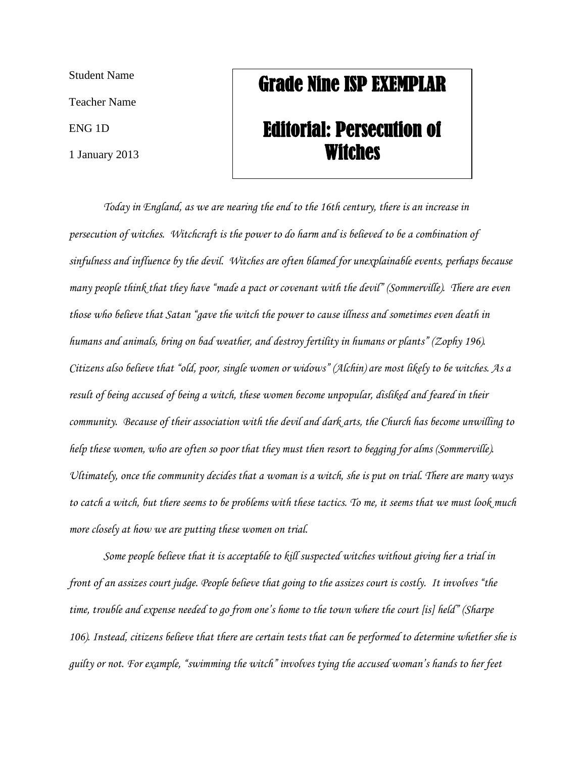Student Name

Teacher Name

ENG 1D

1 January 2013

## Grade Nine ISP EXEMPLAR

## Editorial: Persecution of Witches

*Today in England, as we are nearing the end to the 16th century, there is an increase in persecution of witches. Witchcraft is the power to do harm and is believed to be a combination of sinfulness and influence by the devil. Witches are often blamed for unexplainable events, perhaps because many people think that they have "made a pact or covenant with the devil" (Sommerville). There are even those who believe that Satan "gave the witch the power to cause illness and sometimes even death in humans and animals, bring on bad weather, and destroy fertility in humans or plants" (Zophy 196). Citizens also believe that "old, poor, single women or widows" (Alchin) are most likely to be witches. As a result of being accused of being a witch, these women become unpopular, disliked and feared in their community. Because of their association with the devil and dark arts, the Church has become unwilling to help these women, who are often so poor that they must then resort to begging for alms (Sommerville). Ultimately, once the community decides that a woman is a witch, she is put on trial. There are many ways to catch a witch, but there seems to be problems with these tactics. To me, it seems that we must look much more closely at how we are putting these women on trial.* 

*Some people believe that it is acceptable to kill suspected witches without giving her a trial in front of an assizes court judge. People believe that going to the assizes court is costly. It involves "the time, trouble and expense needed to go from one's home to the town where the court [is] held" (Sharpe 106). Instead, citizens believe that there are certain tests that can be performed to determine whether she is guilty or not. For example, "swimming the witch" involves tying the accused woman's hands to her feet*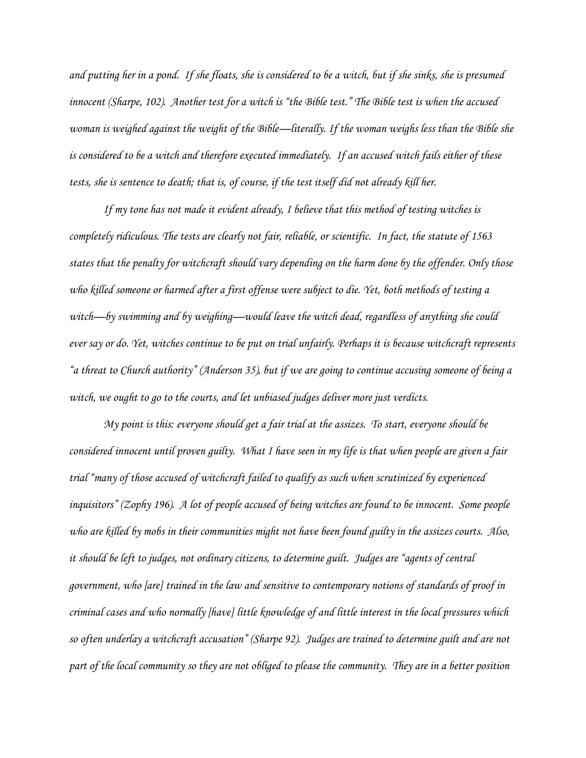*and putting her in a pond. If she floats, she is considered to be a witch, but if she sinks, she is presumed innocent (Sharpe, 102). Another test for a witch is "the Bible test." The Bible test is when the accused woman is weighed against the weight of the Bible—literally. If the woman weighs less than the Bible she is considered to be a witch and therefore executed immediately. If an accused witch fails either of these tests, she is sentence to death; that is, of course, if the test itself did not already kill her.* 

*If my tone has not made it evident already, I believe that this method of testing witches is completely ridiculous. The tests are clearly not fair, reliable, or scientific. In fact, the statute of 1563 states that the penalty for witchcraft should vary depending on the harm done by the offender. Only those who killed someone or harmed after a first offense were subject to die. Yet, both methods of testing a witch—by swimming and by weighing—would leave the witch dead, regardless of anything she could ever say or do. Yet, witches continue to be put on trial unfairly. Perhaps it is because witchcraft represents "a threat to Church authority" (Anderson 35), but if we are going to continue accusing someone of being a witch, we ought to go to the courts, and let unbiased judges deliver more just verdicts.* 

*My point is this: everyone should get a fair trial at the assizes. To start, everyone should be considered innocent until proven guilty. What I have seen in my life is that when people are given a fair trial "many of those accused of witchcraft failed to qualify as such when scrutinized by experienced inquisitors" (Zophy 196). A lot of people accused of being witches are found to be innocent. Some people who are killed by mobs in their communities might not have been found guilty in the assizes courts. Also, it should be left to judges, not ordinary citizens, to determine guilt. Judges are "agents of central government, who [are] trained in the law and sensitive to contemporary notions of standards of proof in criminal cases and who normally [have] little knowledge of and little interest in the local pressures which so often underlay a witchcraft accusation" (Sharpe 92). Judges are trained to determine guilt and are not part of the local community so they are not obliged to please the community. They are in a better position*